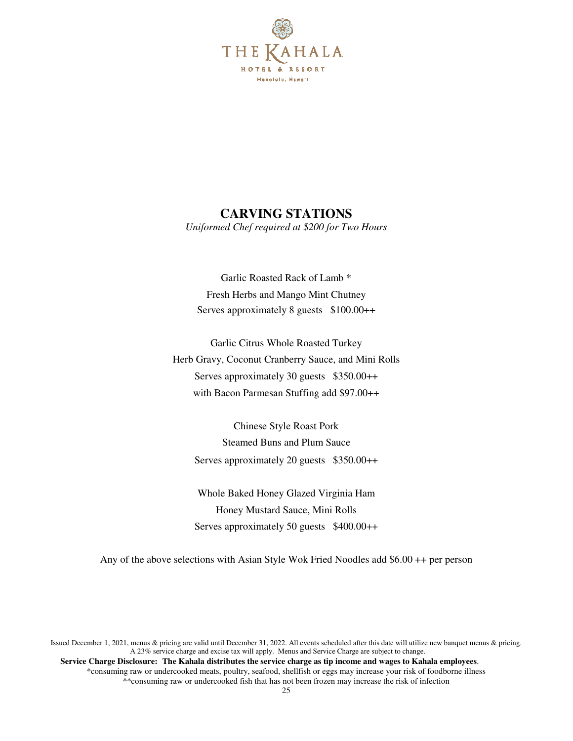

## **CARVING STATIONS**

*Uniformed Chef required at \$200 for Two Hours* 

Garlic Roasted Rack of Lamb \* Fresh Herbs and Mango Mint Chutney Serves approximately 8 guests \$100.00++

Garlic Citrus Whole Roasted Turkey Herb Gravy, Coconut Cranberry Sauce, and Mini Rolls Serves approximately 30 guests \$350.00++ with Bacon Parmesan Stuffing add \$97.00++

Chinese Style Roast Pork Steamed Buns and Plum Sauce Serves approximately 20 guests \$350.00++

Whole Baked Honey Glazed Virginia Ham Honey Mustard Sauce, Mini Rolls Serves approximately 50 guests \$400.00++

Any of the above selections with Asian Style Wok Fried Noodles add \$6.00 ++ per person

Issued December 1, 2021, menus & pricing are valid until December 31, 2022. All events scheduled after this date will utilize new banquet menus & pricing. A 23% service charge and excise tax will apply. Menus and Service Charge are subject to change.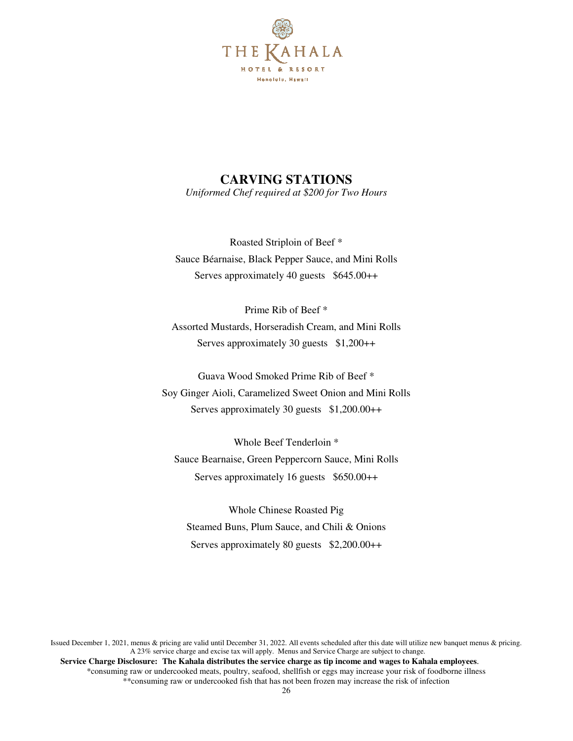

# **CARVING STATIONS**

*Uniformed Chef required at \$200 for Two Hours* 

Roasted Striploin of Beef \* Sauce Béarnaise, Black Pepper Sauce, and Mini Rolls Serves approximately 40 guests \$645.00++

Prime Rib of Beef \* Assorted Mustards, Horseradish Cream, and Mini Rolls Serves approximately 30 guests \$1,200++

Guava Wood Smoked Prime Rib of Beef \* Soy Ginger Aioli, Caramelized Sweet Onion and Mini Rolls Serves approximately 30 guests \$1,200.00++

Whole Beef Tenderloin \* Sauce Bearnaise, Green Peppercorn Sauce, Mini Rolls Serves approximately 16 guests \$650.00++

Whole Chinese Roasted Pig Steamed Buns, Plum Sauce, and Chili & Onions Serves approximately 80 guests \$2,200.00++

Issued December 1, 2021, menus & pricing are valid until December 31, 2022. All events scheduled after this date will utilize new banquet menus & pricing. A 23% service charge and excise tax will apply. Menus and Service Charge are subject to change.  **Service Charge Disclosure: The Kahala distributes the service charge as tip income and wages to Kahala employees**.

\*consuming raw or undercooked meats, poultry, seafood, shellfish or eggs may increase your risk of foodborne illness \*\*consuming raw or undercooked fish that has not been frozen may increase the risk of infection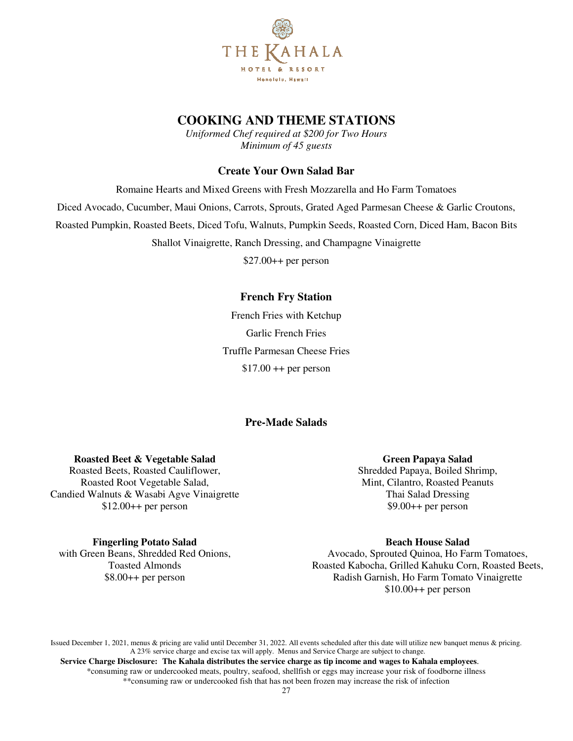

*Uniformed Chef required at \$200 for Two Hours Minimum of 45 guests* 

#### **Create Your Own Salad Bar**

Romaine Hearts and Mixed Greens with Fresh Mozzarella and Ho Farm Tomatoes Diced Avocado, Cucumber, Maui Onions, Carrots, Sprouts, Grated Aged Parmesan Cheese & Garlic Croutons, Roasted Pumpkin, Roasted Beets, Diced Tofu, Walnuts, Pumpkin Seeds, Roasted Corn, Diced Ham, Bacon Bits Shallot Vinaigrette, Ranch Dressing, and Champagne Vinaigrette

\$27.00++ per person

### **French Fry Station**

French Fries with Ketchup Garlic French Fries Truffle Parmesan Cheese Fries  $$17.00 ++$  per person

### **Pre-Made Salads**

#### **Roasted Beet & Vegetable Salad**

Roasted Beets, Roasted Cauliflower, Roasted Root Vegetable Salad, Candied Walnuts & Wasabi Agve Vinaigrette  $$12.00++$  per person

#### **Green Papaya Salad**

Shredded Papaya, Boiled Shrimp, Mint, Cilantro, Roasted Peanuts Thai Salad Dressing  $$9.00++$  per person

### **Fingerling Potato Salad**

with Green Beans, Shredded Red Onions, Toasted Almonds \$8.00++ per person

**Beach House Salad** 

Avocado, Sprouted Quinoa, Ho Farm Tomatoes, Roasted Kabocha, Grilled Kahuku Corn, Roasted Beets, Radish Garnish, Ho Farm Tomato Vinaigrette  $$10.00++$  per person

Issued December 1, 2021, menus & pricing are valid until December 31, 2022. All events scheduled after this date will utilize new banquet menus & pricing. A 23% service charge and excise tax will apply. Menus and Service Charge are subject to change.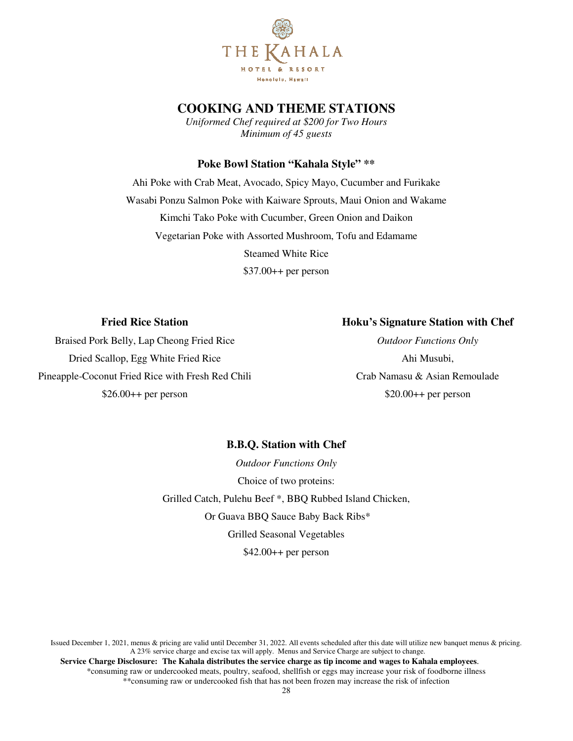

*Uniformed Chef required at \$200 for Two Hours Minimum of 45 guests* 

#### **Poke Bowl Station "Kahala Style" \*\***

Ahi Poke with Crab Meat, Avocado, Spicy Mayo, Cucumber and Furikake Wasabi Ponzu Salmon Poke with Kaiware Sprouts, Maui Onion and Wakame Kimchi Tako Poke with Cucumber, Green Onion and Daikon Vegetarian Poke with Assorted Mushroom, Tofu and Edamame Steamed White Rice \$37.00++ per person

#### **Fried Rice Station**

#### **Hoku's Signature Station with Chef**

Braised Pork Belly, Lap Cheong Fried Rice Dried Scallop, Egg White Fried Rice Pineapple-Coconut Fried Rice with Fresh Red Chili  $$26.00++$  per person

*Outdoor Functions Only*  Ahi Musubi, Crab Namasu & Asian Remoulade \$20.00++ per person

#### **B.B.Q. Station with Chef**

*Outdoor Functions Only*  Choice of two proteins: Grilled Catch, Pulehu Beef \*, BBQ Rubbed Island Chicken, Or Guava BBQ Sauce Baby Back Ribs\* Grilled Seasonal Vegetables  $$42.00++$  per person

Issued December 1, 2021, menus & pricing are valid until December 31, 2022. All events scheduled after this date will utilize new banquet menus & pricing. A 23% service charge and excise tax will apply. Menus and Service Charge are subject to change.  **Service Charge Disclosure: The Kahala distributes the service charge as tip income and wages to Kahala employees**.

\*consuming raw or undercooked meats, poultry, seafood, shellfish or eggs may increase your risk of foodborne illness \*\*consuming raw or undercooked fish that has not been frozen may increase the risk of infection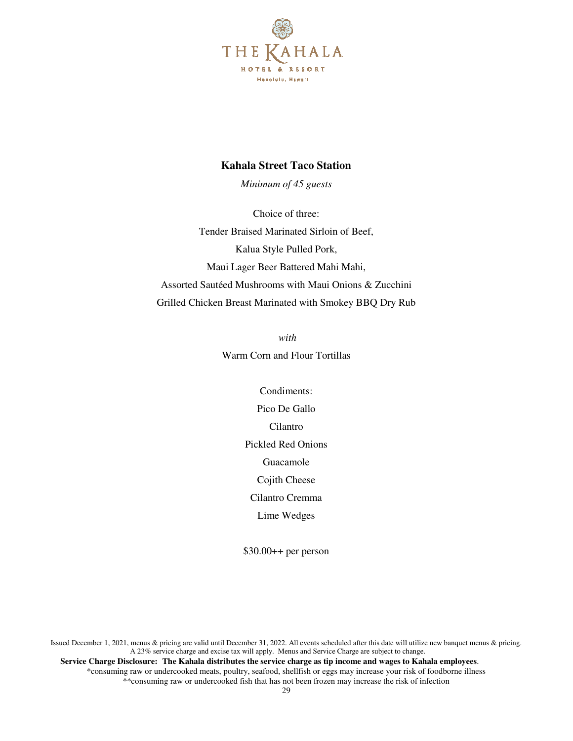

#### **Kahala Street Taco Station**

*Minimum of 45 guests* 

Choice of three: Tender Braised Marinated Sirloin of Beef, Kalua Style Pulled Pork, Maui Lager Beer Battered Mahi Mahi, Assorted Sautéed Mushrooms with Maui Onions & Zucchini Grilled Chicken Breast Marinated with Smokey BBQ Dry Rub

> *with*  Warm Corn and Flour Tortillas

> > Condiments: Pico De Gallo Cilantro Pickled Red Onions Guacamole Cojith Cheese Cilantro Cremma Lime Wedges

\$30.00++ per person

Issued December 1, 2021, menus & pricing are valid until December 31, 2022. All events scheduled after this date will utilize new banquet menus & pricing. A 23% service charge and excise tax will apply. Menus and Service Charge are subject to change.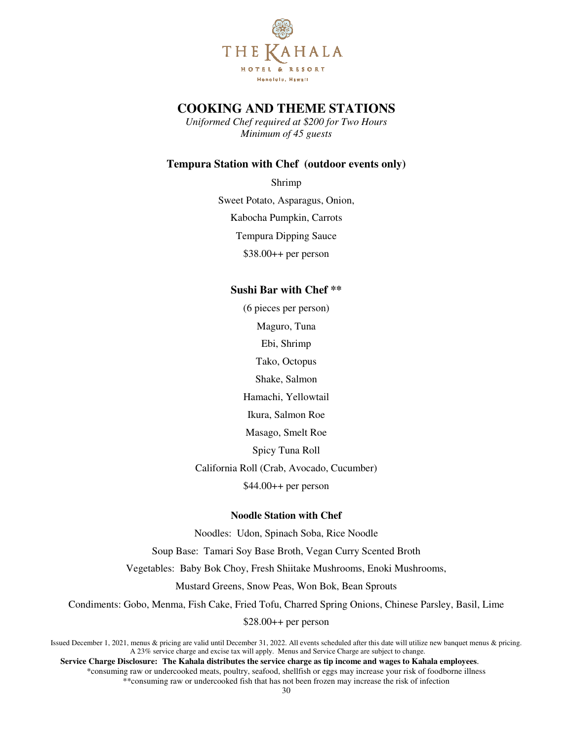

*Uniformed Chef required at \$200 for Two Hours Minimum of 45 guests* 

### **Tempura Station with Chef (outdoor events only)**

Shrimp Sweet Potato, Asparagus, Onion, Kabocha Pumpkin, Carrots Tempura Dipping Sauce \$38.00++ per person

#### **Sushi Bar with Chef \*\***

(6 pieces per person) Maguro, Tuna Ebi, Shrimp Tako, Octopus Shake, Salmon Hamachi, Yellowtail Ikura, Salmon Roe Masago, Smelt Roe Spicy Tuna Roll California Roll (Crab, Avocado, Cucumber)  $$44.00++$  per person

#### **Noodle Station with Chef**

Noodles: Udon, Spinach Soba, Rice Noodle Soup Base: Tamari Soy Base Broth, Vegan Curry Scented Broth Vegetables: Baby Bok Choy, Fresh Shiitake Mushrooms, Enoki Mushrooms, Mustard Greens, Snow Peas, Won Bok, Bean Sprouts Condiments: Gobo, Menma, Fish Cake, Fried Tofu, Charred Spring Onions, Chinese Parsley, Basil, Lime

 $$28.00++$  per person

Issued December 1, 2021, menus & pricing are valid until December 31, 2022. All events scheduled after this date will utilize new banquet menus & pricing. A 23% service charge and excise tax will apply. Menus and Service Charge are subject to change.